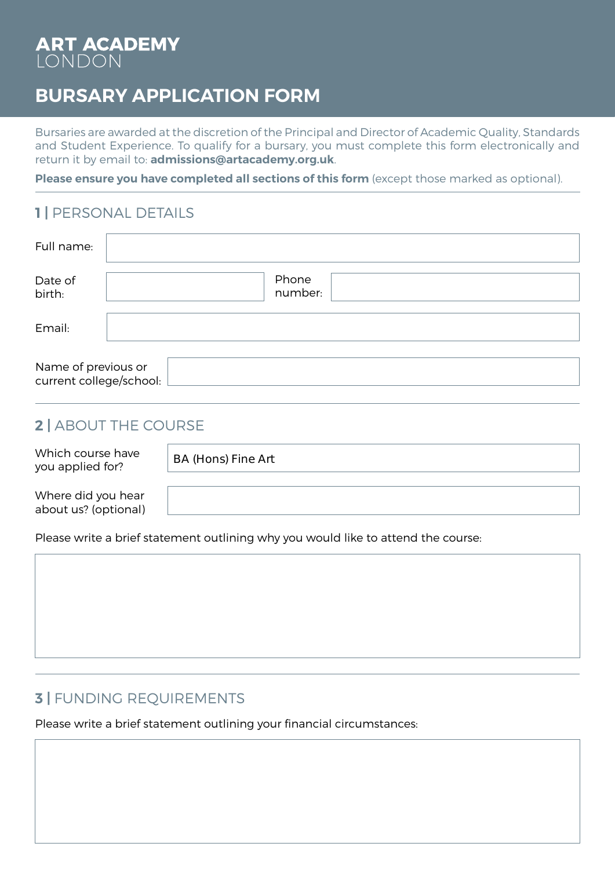# ART ACADEMY

# **BURSARY APPLICATION FORM**

Bursaries are awarded at the discretion of the Principal and Director of Academic Quality, Standards and Student Experience. To qualify for a bursary, you must complete this form electronically and return it by email to: **admissions@artacademy.org.uk**.

**Please ensure you have completed all sections of this form** (except those marked as optional).

#### **1 |** PERSONAL DETAILS

| Full name:                                     |                  |
|------------------------------------------------|------------------|
| Date of<br>birth:                              | Phone<br>number: |
| Email:                                         |                  |
| Name of previous or<br>current college/school: |                  |

### **2 |** ABOUT THE COURSE

Which course have you applied for?

BA (Hons) Fine Art

Where did you hear about us? (optional)

Please write a brief statement outlining why you would like to attend the course:

## **3 |** FUNDING REQUIREMENTS

Please write a brief statement outlining your financial circumstances: